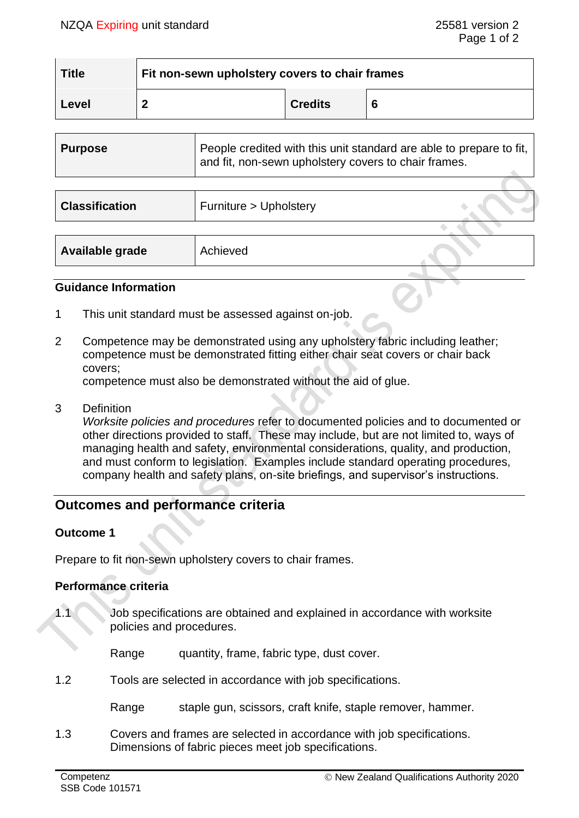| <b>Title</b> | $\mathsf{I}$ Fit non-sewn upholstery covers to chair frames |                |   |
|--------------|-------------------------------------------------------------|----------------|---|
| Level        |                                                             | <b>Credits</b> | 6 |

| <b>Purpose</b>        | People credited with this unit standard are able to prepare to fit,<br>and fit, non-sewn upholstery covers to chair frames. |
|-----------------------|-----------------------------------------------------------------------------------------------------------------------------|
|                       |                                                                                                                             |
| <b>Classification</b> | Furniture > Upholstery                                                                                                      |
|                       |                                                                                                                             |

| Available grade | Achieved |  |
|-----------------|----------|--|
|-----------------|----------|--|

### **Guidance Information**

- 1 This unit standard must be assessed against on-job.
- 2 Competence may be demonstrated using any upholstery fabric including leather; competence must be demonstrated fitting either chair seat covers or chair back covers;

competence must also be demonstrated without the aid of glue.

3 Definition

*Worksite policies and procedures* refer to documented policies and to documented or other directions provided to staff. These may include, but are not limited to, ways of managing health and safety, environmental considerations, quality, and production, and must conform to legislation. Examples include standard operating procedures, company health and safety plans, on-site briefings, and supervisor's instructions.

# **Outcomes and performance criteria**

### **Outcome 1**

Prepare to fit non-sewn upholstery covers to chair frames.

### **Performance criteria**

1.1 Job specifications are obtained and explained in accordance with worksite policies and procedures.

Range quantity, frame, fabric type, dust cover.

1.2 Tools are selected in accordance with job specifications.

Range staple gun, scissors, craft knife, staple remover, hammer.

1.3 Covers and frames are selected in accordance with job specifications. Dimensions of fabric pieces meet job specifications.